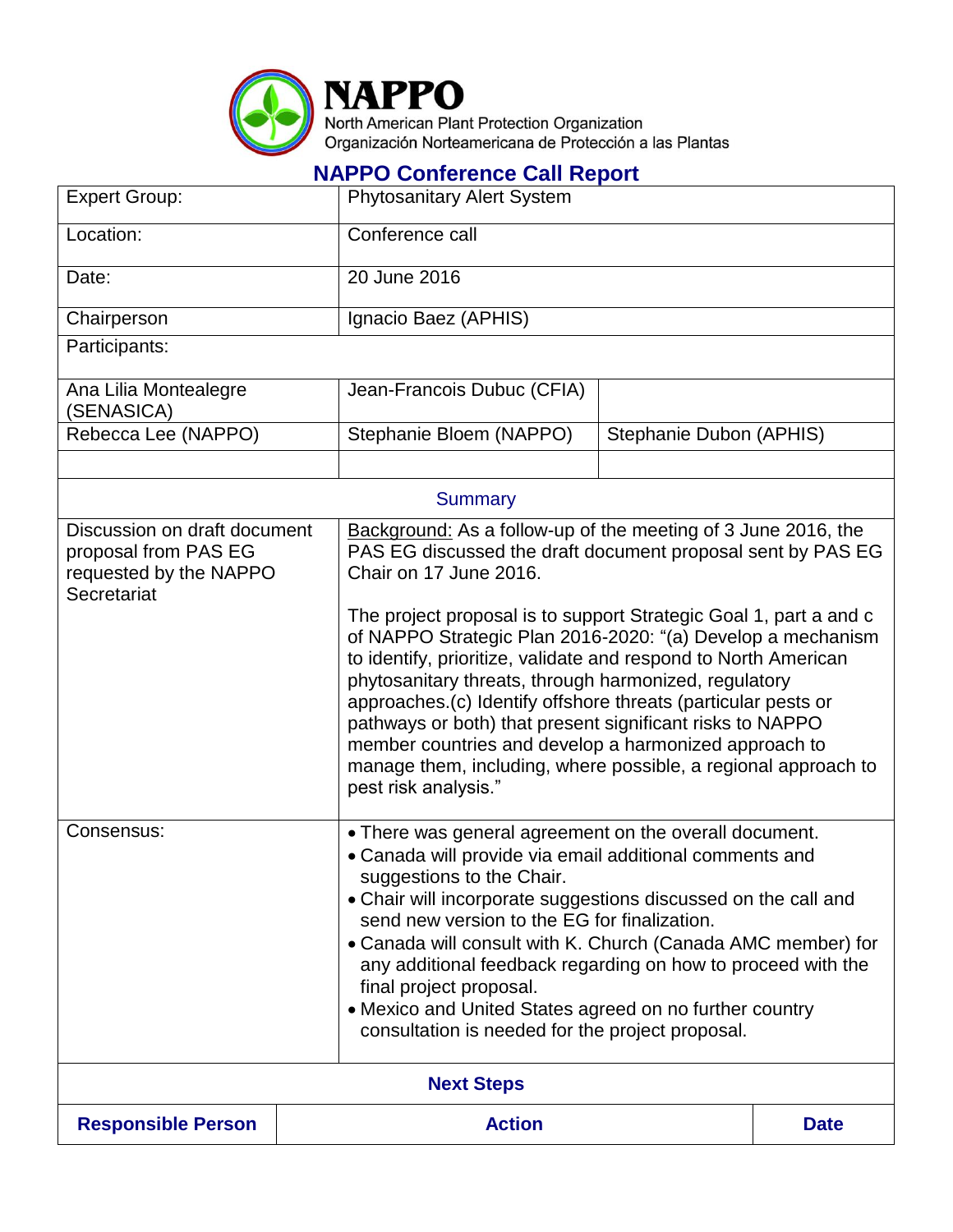

## **NAPPO Conference Call Report**

| <b>Expert Group:</b>                                                                          | <b>Phytosanitary Alert System</b>                    |                                                                                                                                                                                                                                                                                                                                                                                                                                                                                                                                                                                                                                                       |             |  |
|-----------------------------------------------------------------------------------------------|------------------------------------------------------|-------------------------------------------------------------------------------------------------------------------------------------------------------------------------------------------------------------------------------------------------------------------------------------------------------------------------------------------------------------------------------------------------------------------------------------------------------------------------------------------------------------------------------------------------------------------------------------------------------------------------------------------------------|-------------|--|
| Location:                                                                                     | Conference call                                      |                                                                                                                                                                                                                                                                                                                                                                                                                                                                                                                                                                                                                                                       |             |  |
| Date:                                                                                         | 20 June 2016                                         |                                                                                                                                                                                                                                                                                                                                                                                                                                                                                                                                                                                                                                                       |             |  |
| Chairperson                                                                                   | Ignacio Baez (APHIS)                                 |                                                                                                                                                                                                                                                                                                                                                                                                                                                                                                                                                                                                                                                       |             |  |
| Participants:                                                                                 |                                                      |                                                                                                                                                                                                                                                                                                                                                                                                                                                                                                                                                                                                                                                       |             |  |
| Ana Lilia Montealegre<br>(SENASICA)                                                           | Jean-Francois Dubuc (CFIA)                           |                                                                                                                                                                                                                                                                                                                                                                                                                                                                                                                                                                                                                                                       |             |  |
| Rebecca Lee (NAPPO)                                                                           | Stephanie Bloem (NAPPO)                              | Stephanie Dubon (APHIS)                                                                                                                                                                                                                                                                                                                                                                                                                                                                                                                                                                                                                               |             |  |
|                                                                                               |                                                      |                                                                                                                                                                                                                                                                                                                                                                                                                                                                                                                                                                                                                                                       |             |  |
| <b>Summary</b>                                                                                |                                                      |                                                                                                                                                                                                                                                                                                                                                                                                                                                                                                                                                                                                                                                       |             |  |
| Discussion on draft document<br>proposal from PAS EG<br>requested by the NAPPO<br>Secretariat | Chair on 17 June 2016.<br>pest risk analysis."       | Background: As a follow-up of the meeting of 3 June 2016, the<br>PAS EG discussed the draft document proposal sent by PAS EG<br>The project proposal is to support Strategic Goal 1, part a and c<br>of NAPPO Strategic Plan 2016-2020: "(a) Develop a mechanism<br>to identify, prioritize, validate and respond to North American<br>phytosanitary threats, through harmonized, regulatory<br>approaches.(c) Identify offshore threats (particular pests or<br>pathways or both) that present significant risks to NAPPO<br>member countries and develop a harmonized approach to<br>manage them, including, where possible, a regional approach to |             |  |
| Consensus:                                                                                    | suggestions to the Chair.<br>final project proposal. | • There was general agreement on the overall document.<br>• Canada will provide via email additional comments and<br>• Chair will incorporate suggestions discussed on the call and<br>send new version to the EG for finalization.<br>• Canada will consult with K. Church (Canada AMC member) for<br>any additional feedback regarding on how to proceed with the<br>• Mexico and United States agreed on no further country<br>consultation is needed for the project proposal.                                                                                                                                                                    |             |  |
| <b>Next Steps</b>                                                                             |                                                      |                                                                                                                                                                                                                                                                                                                                                                                                                                                                                                                                                                                                                                                       |             |  |
| <b>Responsible Person</b>                                                                     | <b>Action</b>                                        |                                                                                                                                                                                                                                                                                                                                                                                                                                                                                                                                                                                                                                                       | <b>Date</b> |  |